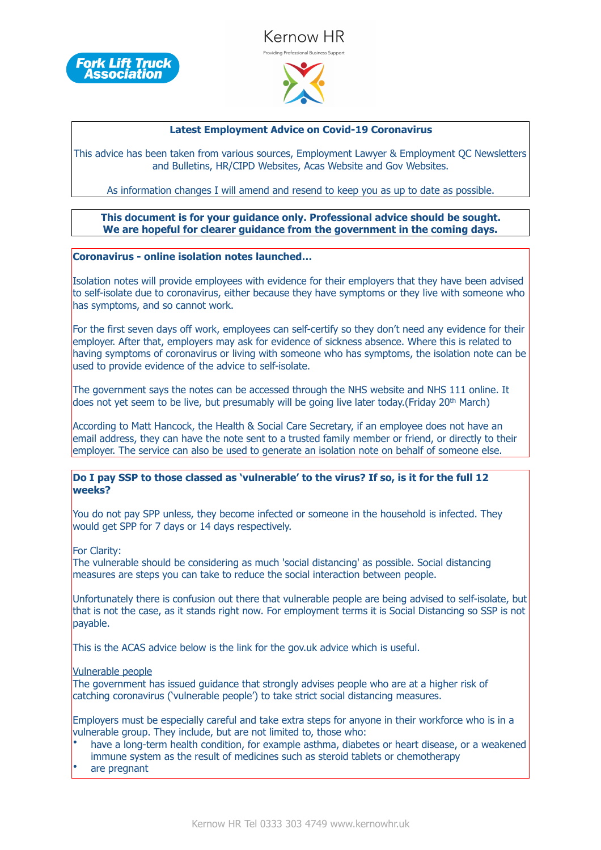



### **Latest Employment Advice on Covid-19 Coronavirus**

This advice has been taken from various sources, Employment Lawyer & Employment QC Newsletters and Bulletins, HR/CIPD Websites, Acas Website and Gov Websites.

As information changes I will amend and resend to keep you as up to date as possible.

### **This document is for your guidance only. Professional advice should be sought. We are hopeful for clearer guidance from the government in the coming days.**

#### **Coronavirus - online isolation notes launched…**

Isolation notes will provide employees with evidence for their employers that they have been advised to self-isolate due to coronavirus, either because they have symptoms or they live with someone who has symptoms, and so cannot work.

For the first seven days off work, employees can self-certify so they don't need any evidence for their employer. After that, employers may ask for evidence of sickness absence. Where this is related to having symptoms of coronavirus or living with someone who has symptoms, the isolation note can be used to provide evidence of the advice to self-isolate.

The government says the notes can be accessed through the NHS website and NHS 111 online. It does not yet seem to be live, but presumably will be going live later today.(Friday 20th March)

According to Matt Hancock, the Health & Social Care Secretary, if an employee does not have an email address, they can have the note sent to a trusted family member or friend, or directly to their employer. The service can also be used to generate an isolation note on behalf of someone else.

#### **Do I pay SSP to those classed as 'vulnerable' to the virus? If so, is it for the full 12 weeks?**

You do not pay SPP unless, they become infected or someone in the household is infected. They would get SPP for 7 days or 14 days respectively.

For Clarity:

The vulnerable should be considering as much 'social distancing' as possible. Social distancing measures are steps you can take to reduce the social interaction between people.

Unfortunately there is confusion out there that vulnerable people are being advised to self-isolate, but that is not the case, as it stands right now. For employment terms it is Social Distancing so SSP is not payable.

This is the ACAS advice below is the link for the gov.uk advice which is useful.

Vulnerable people

The government has issued guidance that strongly advises people who are at a higher risk of catching coronavirus ('vulnerable people') to take strict social distancing measures.

Employers must be especially careful and take extra steps for anyone in their workforce who is in a vulnerable group. They include, but are not limited to, those who:

- have a long-term health condition, for example asthma, diabetes or heart disease, or a weakened immune system as the result of medicines such as steroid tablets or chemotherapy
- are pregnant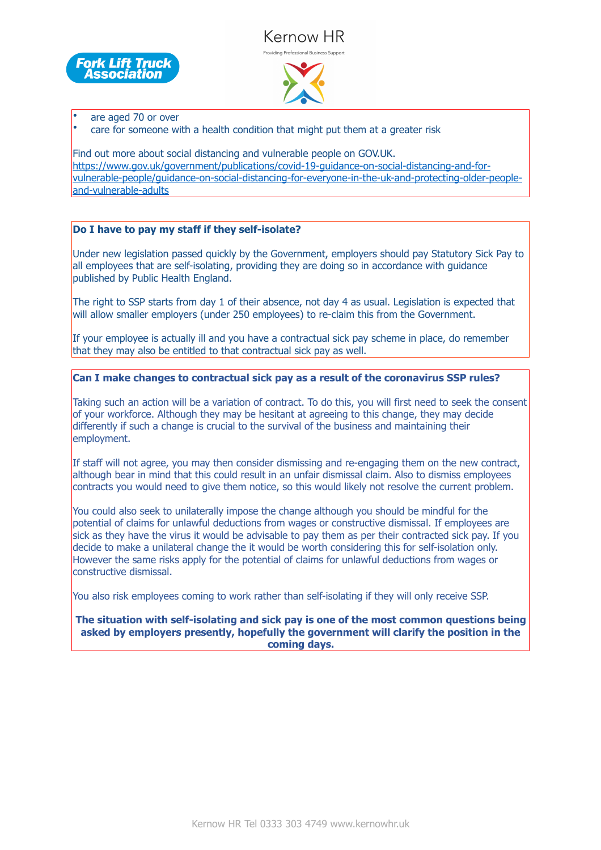# Kernow HR .<br>Providina Professional Business Support





• are aged 70 or over

• care for someone with a health condition that might put them at a greater risk

Find out more about social distancing and vulnerable people on GOV.UK. [https://www.gov.uk/government/publications/covid-19-guidance-on-social-distancing-and-for](https://www.gov.uk/government/publications/covid-19-guidance-on-social-distancing-and-for-vulnerable-people/guidance-on-social-distancing-for-everyone-in-the-uk-and-protecting-older-people-and-vulnerable-adults)[vulnerable-people/guidance-on-social-distancing-for-everyone-in-the-uk-and-protecting-older-people](https://www.gov.uk/government/publications/covid-19-guidance-on-social-distancing-and-for-vulnerable-people/guidance-on-social-distancing-for-everyone-in-the-uk-and-protecting-older-people-and-vulnerable-adults)[and-vulnerable-adults](https://www.gov.uk/government/publications/covid-19-guidance-on-social-distancing-and-for-vulnerable-people/guidance-on-social-distancing-for-everyone-in-the-uk-and-protecting-older-people-and-vulnerable-adults)

# **Do I have to pay my staff if they self-isolate?**

Under new legislation passed quickly by the Government, employers should pay Statutory Sick Pay to all employees that are self-isolating, providing they are doing so in accordance with guidance published by Public Health England.

The right to SSP starts from day 1 of their absence, not day 4 as usual. Legislation is expected that will allow smaller employers (under 250 employees) to re-claim this from the Government.

If your employee is actually ill and you have a contractual sick pay scheme in place, do remember that they may also be entitled to that contractual sick pay as well.

# **Can I make changes to contractual sick pay as a result of the coronavirus SSP rules?**

Taking such an action will be a variation of contract. To do this, you will first need to seek the consent of your workforce. Although they may be hesitant at agreeing to this change, they may decide differently if such a change is crucial to the survival of the business and maintaining their employment.

If staff will not agree, you may then consider dismissing and re-engaging them on the new contract, although bear in mind that this could result in an unfair dismissal claim. Also to dismiss employees contracts you would need to give them notice, so this would likely not resolve the current problem.

You could also seek to unilaterally impose the change although you should be mindful for the potential of claims for unlawful deductions from wages or constructive dismissal. If employees are sick as they have the virus it would be advisable to pay them as per their contracted sick pay. If you decide to make a unilateral change the it would be worth considering this for self-isolation only. However the same risks apply for the potential of claims for unlawful deductions from wages or constructive dismissal.

You also risk employees coming to work rather than self-isolating if they will only receive SSP.

**The situation with self-isolating and sick pay is one of the most common questions being asked by employers presently, hopefully the government will clarify the position in the coming days.**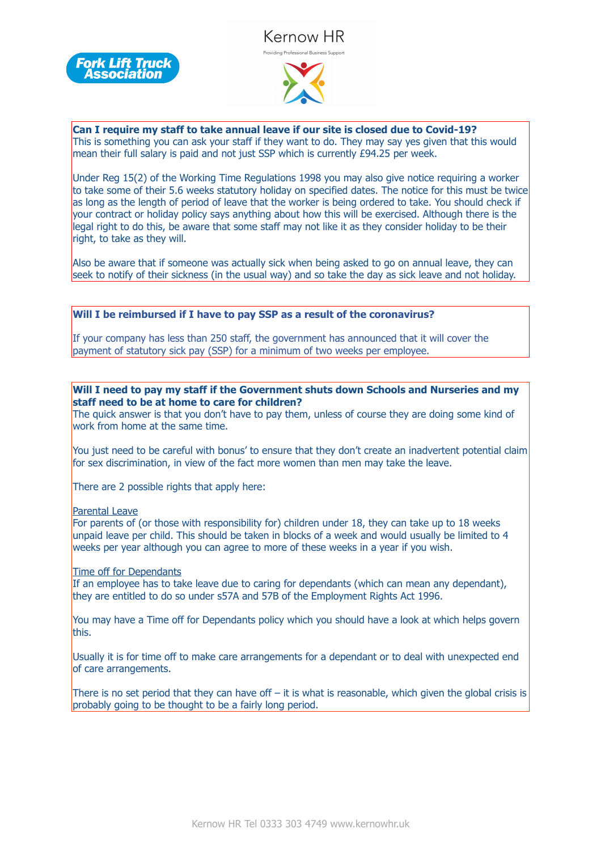





**Can I require my staff to take annual leave if our site is closed due to Covid-19?** This is something you can ask your staff if they want to do. They may say yes given that this would mean their full salary is paid and not just SSP which is currently  $E94.25$  per week.

Under Reg 15(2) of the Working Time Regulations 1998 you may also give notice requiring a worker to take some of their 5.6 weeks statutory holiday on specified dates. The notice for this must be twice as long as the length of period of leave that the worker is being ordered to take. You should check if your contract or holiday policy says anything about how this will be exercised. Although there is the legal right to do this, be aware that some staff may not like it as they consider holiday to be their right, to take as they will.

Also be aware that if someone was actually sick when being asked to go on annual leave, they can seek to notify of their sickness (in the usual way) and so take the day as sick leave and not holiday.

### **Will I be reimbursed if I have to pay SSP as a result of the coronavirus?**

If your company has less than 250 staff, the government has announced that it will cover the payment of statutory sick pay (SSP) for a minimum of two weeks per employee.

#### **Will I need to pay my staff if the Government shuts down Schools and Nurseries and my staff need to be at home to care for children?**

The quick answer is that you don't have to pay them, unless of course they are doing some kind of work from home at the same time.

You just need to be careful with bonus' to ensure that they don't create an inadvertent potential claim for sex discrimination, in view of the fact more women than men may take the leave.

There are 2 possible rights that apply here:

#### Parental Leave

For parents of (or those with responsibility for) children under 18, they can take up to 18 weeks unpaid leave per child. This should be taken in blocks of a week and would usually be limited to 4 weeks per year although you can agree to more of these weeks in a year if you wish.

# Time off for Dependants

If an employee has to take leave due to caring for dependants (which can mean any dependant), they are entitled to do so under s57A and 57B of the Employment Rights Act 1996.

You may have a Time off for Dependants policy which you should have a look at which helps govern this.

Usually it is for time off to make care arrangements for a dependant or to deal with unexpected end of care arrangements.

There is no set period that they can have off – it is what is reasonable, which given the global crisis is probably going to be thought to be a fairly long period.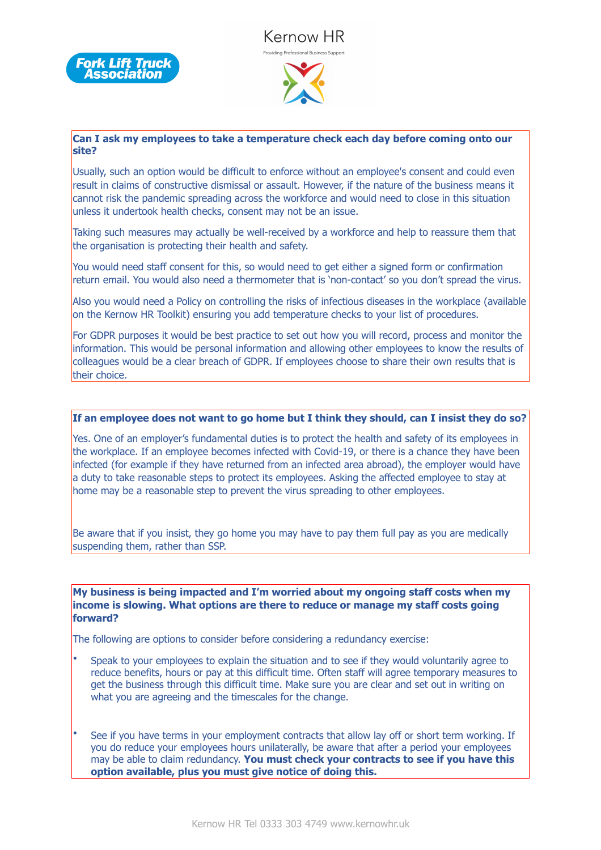





# **Can I ask my employees to take a temperature check each day before coming onto our site?**

Usually, such an option would be difficult to enforce without an employee's consent and could even result in claims of constructive dismissal or assault. However, if the nature of the business means it cannot risk the pandemic spreading across the workforce and would need to close in this situation unless it undertook health checks, consent may not be an issue.

Taking such measures may actually be well-received by a workforce and help to reassure them that the organisation is protecting their health and safety.

You would need staff consent for this, so would need to get either a signed form or confirmation return email. You would also need a thermometer that is 'non-contact' so you don't spread the virus.

Also you would need a Policy on controlling the risks of infectious diseases in the workplace (available on the Kernow HR Toolkit) ensuring you add temperature checks to your list of procedures.

For GDPR purposes it would be best practice to set out how you will record, process and monitor the information. This would be personal information and allowing other employees to know the results of colleagues would be a clear breach of GDPR. If employees choose to share their own results that is their choice.

# **If an employee does not want to go home but I think they should, can I insist they do so?**

Yes. One of an employer's fundamental duties is to protect the health and safety of its employees in the workplace. If an employee becomes infected with Covid-19, or there is a chance they have been infected (for example if they have returned from an infected area abroad), the employer would have a duty to take reasonable steps to protect its employees. Asking the affected employee to stay at home may be a reasonable step to prevent the virus spreading to other employees.

Be aware that if you insist, they go home you may have to pay them full pay as you are medically suspending them, rather than SSP.

**My business is being impacted and I'm worried about my ongoing staff costs when my income is slowing. What options are there to reduce or manage my staff costs going forward?** 

The following are options to consider before considering a redundancy exercise:

- Speak to your employees to explain the situation and to see if they would voluntarily agree to reduce benefits, hours or pay at this difficult time. Often staff will agree temporary measures to get the business through this difficult time. Make sure you are clear and set out in writing on what you are agreeing and the timescales for the change.
- See if you have terms in your employment contracts that allow lay off or short term working. If you do reduce your employees hours unilaterally, be aware that after a period your employees may be able to claim redundancy. **You must check your contracts to see if you have this option available, plus you must give notice of doing this.**